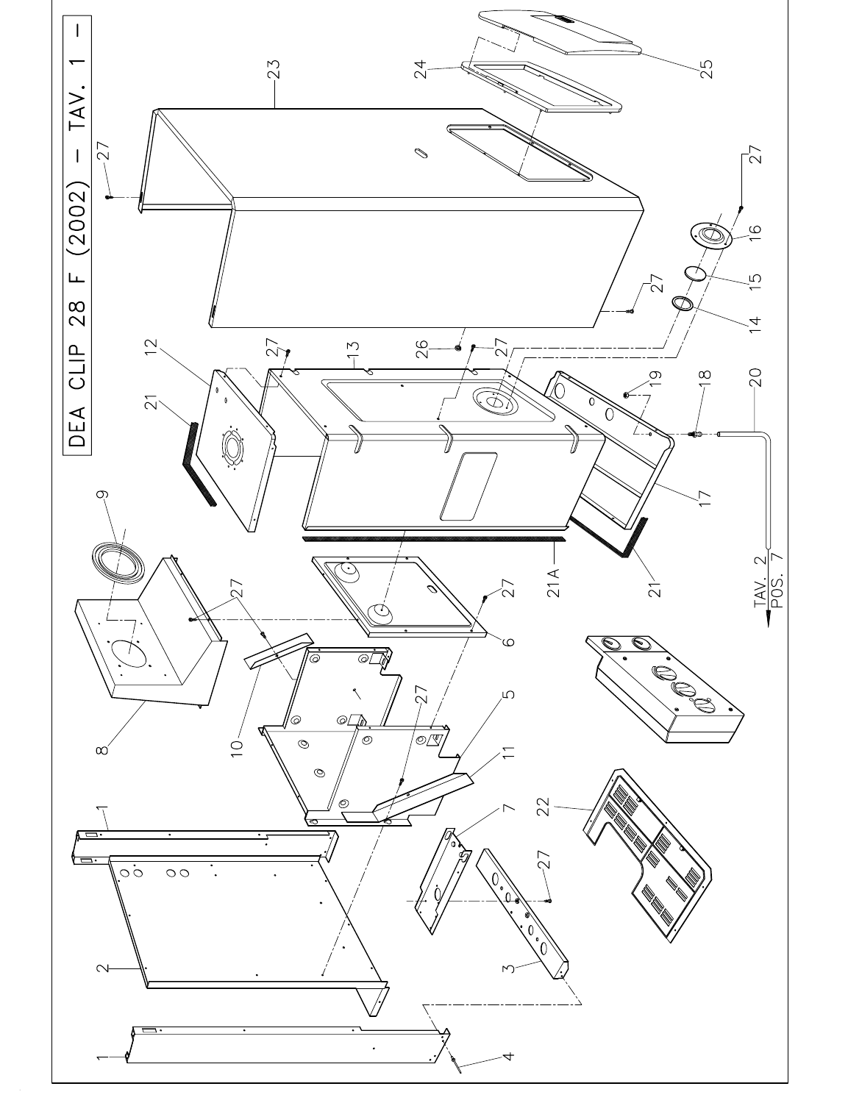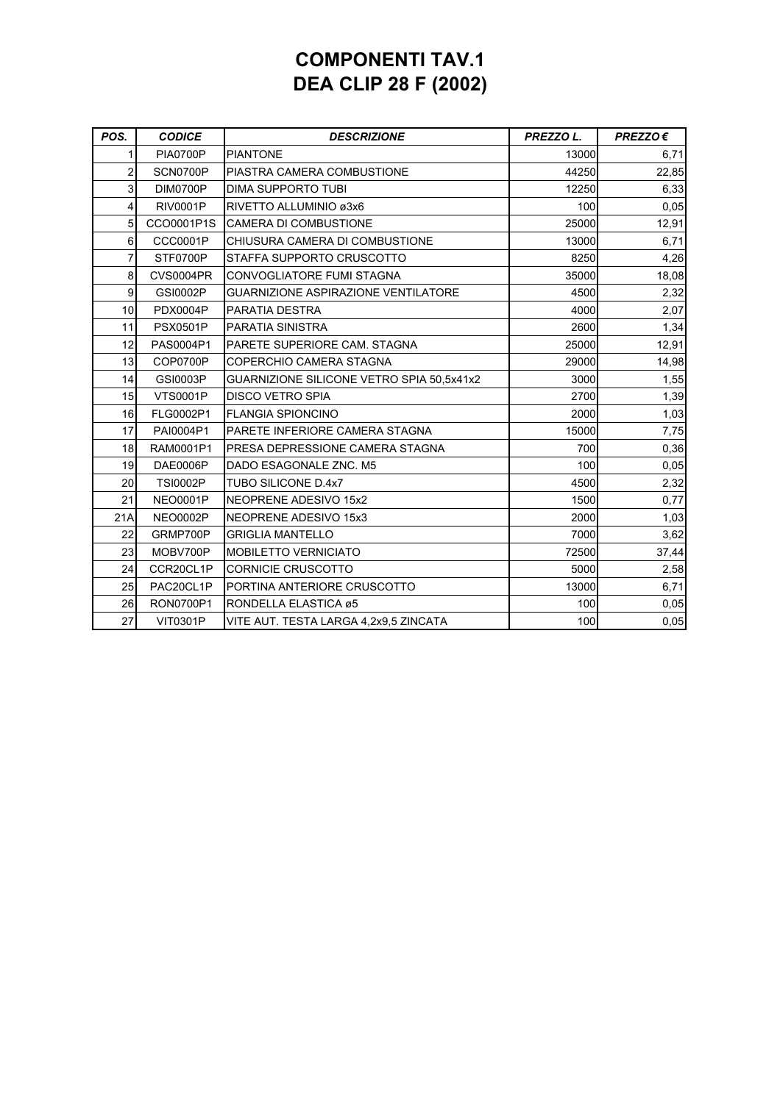## **COMPONENTI TAV.1 DEA CLIP 28 F (2002)**

| POS.           | <b>CODICE</b>    | <b>DESCRIZIONE</b>                         | PREZZO L. | $PREZZO \in$ |
|----------------|------------------|--------------------------------------------|-----------|--------------|
|                | <b>PIA0700P</b>  | <b>PIANTONE</b>                            | 13000     | 6,71         |
| 2              | SCN0700P         | PIASTRA CAMERA COMBUSTIONE                 | 44250     | 22,85        |
| 3              | DIM0700P         | <b>DIMA SUPPORTO TUBI</b>                  | 12250     | 6,33         |
| 4              | <b>RIV0001P</b>  | RIVETTO ALLUMINIO ø3x6                     | 100       | 0,05         |
| 5              | CCO0001P1S       | <b>CAMERA DI COMBUSTIONE</b>               | 25000     | 12,91        |
| 6              | <b>CCC0001P</b>  | CHIUSURA CAMERA DI COMBUSTIONE             | 13000     | 6,71         |
| 7              | STF0700P         | STAFFA SUPPORTO CRUSCOTTO                  | 8250      | 4,26         |
| 8              | <b>CVS0004PR</b> | CONVOGLIATORE FUMI STAGNA                  | 35000     | 18,08        |
| $\overline{9}$ | GSI0002P         | <b>GUARNIZIONE ASPIRAZIONE VENTILATORE</b> | 4500      | 2,32         |
| 10             | <b>PDX0004P</b>  | PARATIA DESTRA                             | 4000      | 2,07         |
| 11             | <b>PSX0501P</b>  | PARATIA SINISTRA                           | 2600      | 1,34         |
| 12             | PAS0004P1        | PARETE SUPERIORE CAM. STAGNA               | 25000     | 12,91        |
| 13             | COP0700P         | COPERCHIO CAMERA STAGNA                    | 29000     | 14,98        |
| 14             | GSI0003P         | GUARNIZIONE SILICONE VETRO SPIA 50,5x41x2  | 3000      | 1,55         |
| 15             | <b>VTS0001P</b>  | <b>DISCO VETRO SPIA</b>                    | 2700      | 1,39         |
| 16             | FLG0002P1        | <b>FLANGIA SPIONCINO</b>                   | 2000      | 1,03         |
| 17             | PAI0004P1        | PARETE INFERIORE CAMERA STAGNA             | 15000     | 7,75         |
| 18             | RAM0001P1        | PRESA DEPRESSIONE CAMERA STAGNA            | 700       | 0,36         |
| 19             | <b>DAE0006P</b>  | DADO ESAGONALE ZNC. M5                     | 100       | 0,05         |
| 20             | <b>TSI0002P</b>  | TUBO SILICONE D.4x7                        | 4500      | 2,32         |
| 21             | <b>NEO0001P</b>  | NEOPRENE ADESIVO 15x2                      | 1500      | 0,77         |
| 21A            | <b>NEO0002P</b>  | NEOPRENE ADESIVO 15x3                      | 2000      | 1,03         |
| 22             | GRMP700P         | <b>GRIGLIA MANTELLO</b>                    | 7000      | 3,62         |
| 23             | MOBV700P         | <b>MOBILETTO VERNICIATO</b>                | 72500     | 37,44        |
| 24             | CCR20CL1P        | <b>CORNICIE CRUSCOTTO</b>                  | 5000      | 2,58         |
| 25             | PAC20CL1P        | PORTINA ANTERIORE CRUSCOTTO                | 13000     | 6,71         |
| 26             | RON0700P1        | RONDELLA ELASTICA ø5                       | 100       | 0,05         |
| 27             | <b>VIT0301P</b>  | VITE AUT. TESTA LARGA 4,2x9,5 ZINCATA      | 100       | 0,05         |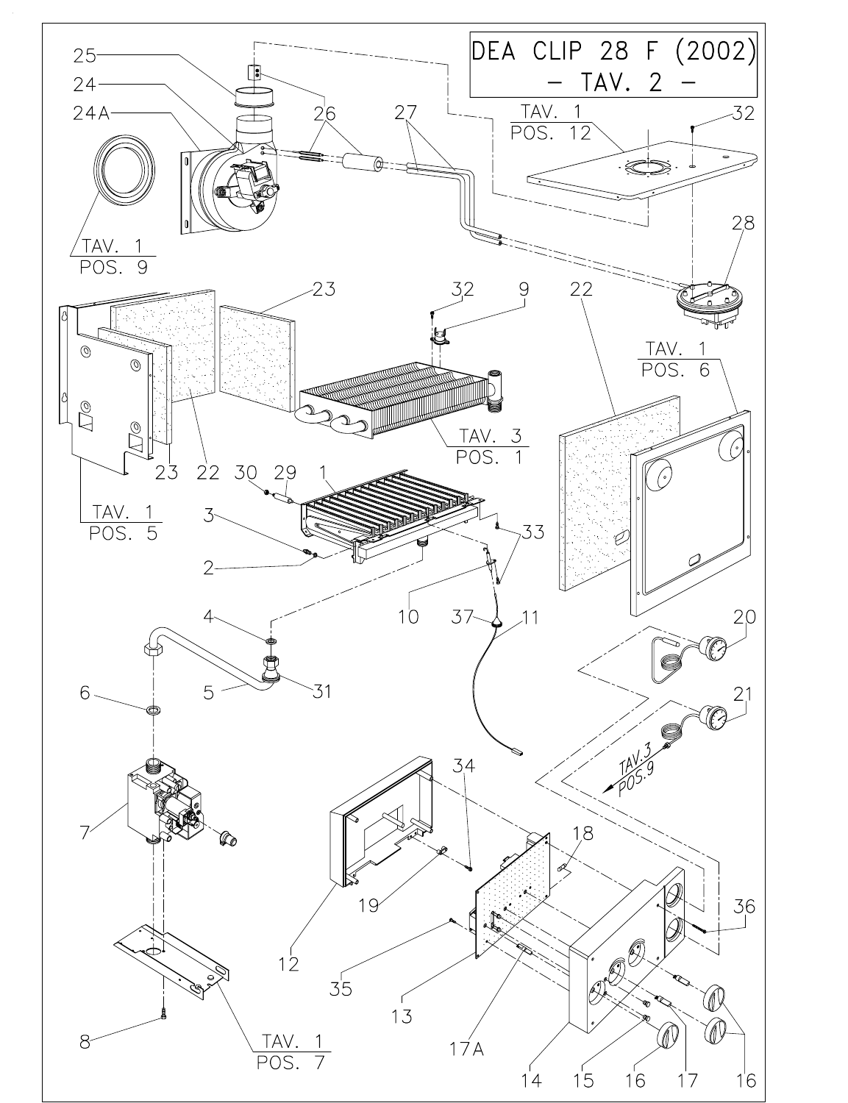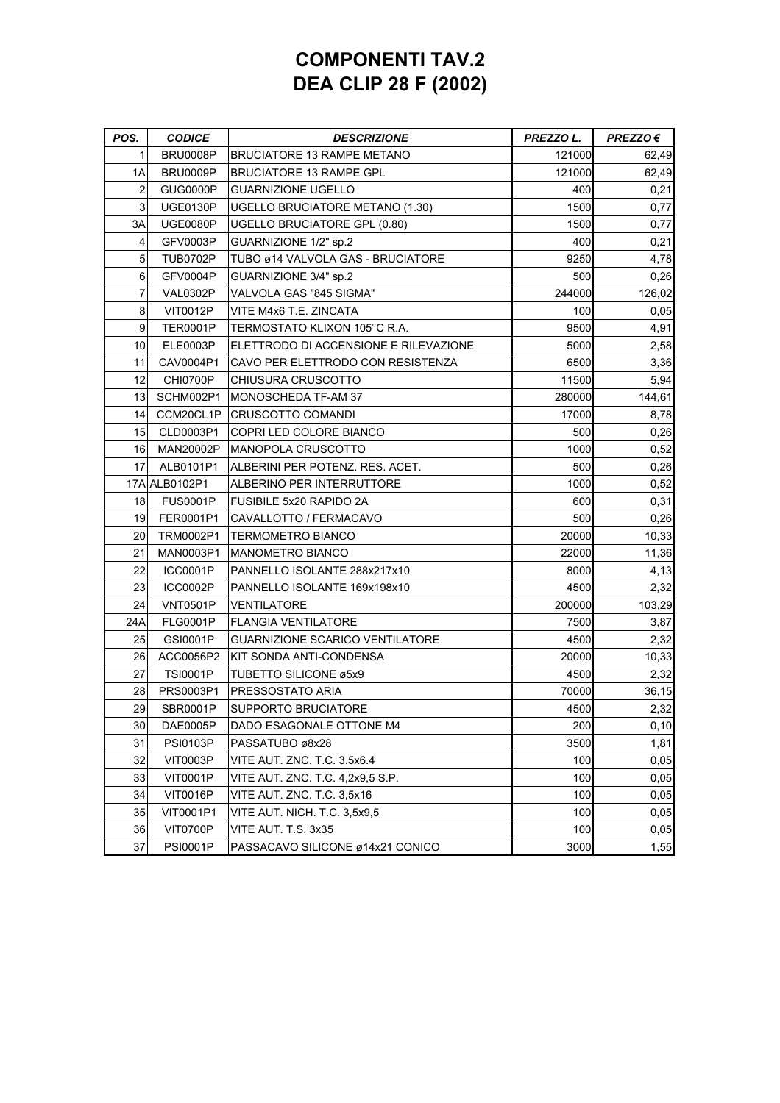## **COMPONENTI TAV.2 DEA CLIP 28 F (2002)**

| POS. | <b>CODICE</b>   | <b>DESCRIZIONE</b>                     | PREZZO L. | $PREZZO \in$ |
|------|-----------------|----------------------------------------|-----------|--------------|
| 1    | BRU0008P        | <b>BRUCIATORE 13 RAMPE METANO</b>      | 121000    | 62,49        |
| 1A   | <b>BRU0009P</b> | <b>BRUCIATORE 13 RAMPE GPL</b>         | 121000    | 62,49        |
| 2    | GUG0000P        | GUARNIZIONE UGELLO                     | 400       | 0,21         |
| 3    | <b>UGE0130P</b> | <b>UGELLO BRUCIATORE METANO (1.30)</b> | 1500      | 0,77         |
| 3A   | <b>UGE0080P</b> | UGELLO BRUCIATORE GPL (0.80)           | 1500      | 0,77         |
| 4    | GFV0003P        | GUARNIZIONE 1/2" sp.2                  | 400       | 0,21         |
| 5    | <b>TUB0702P</b> | TUBO ø14 VALVOLA GAS - BRUCIATORE      | 9250      | 4,78         |
| 6    | GFV0004P        | GUARNIZIONE 3/4" sp.2                  | 500       | 0,26         |
| 7    | VAL0302P        | VALVOLA GAS "845 SIGMA"                | 244000    | 126,02       |
| 8    | <b>VIT0012P</b> | VITE M4x6 T.E. ZINCATA                 | 100       | 0,05         |
| 9    | <b>TER0001P</b> | TERMOSTATO KLIXON 105°C R.A.           | 9500      | 4,91         |
| 10   | <b>ELE0003P</b> | ELETTRODO DI ACCENSIONE E RILEVAZIONE  | 5000      | 2,58         |
| 11   | CAV0004P1       | CAVO PER ELETTRODO CON RESISTENZA      | 6500      | 3,36         |
| 12   | CHI0700P        | CHIUSURA CRUSCOTTO                     | 11500     | 5,94         |
| 13   | SCHM002P1       | MONOSCHEDA TF-AM 37                    | 280000    | 144,61       |
| 14   | CCM20CL1P       | CRUSCOTTO COMANDI                      | 17000     | 8,78         |
| 15   | CLD0003P1       | COPRI LED COLORE BIANCO                | 500       | 0,26         |
| 16   | MAN20002P       | <b>MANOPOLA CRUSCOTTO</b>              | 1000      | 0,52         |
| 17   | ALB0101P1       | ALBERINI PER POTENZ. RES. ACET.        | 500       | 0,26         |
|      | 17A ALB0102P1   | ALBERINO PER INTERRUTTORE              | 1000      | 0,52         |
| 18   | <b>FUS0001P</b> | <b>FUSIBILE 5x20 RAPIDO 2A</b>         | 600       | 0,31         |
| 19   | FER0001P1       | CAVALLOTTO / FERMACAVO                 | 500       | 0,26         |
| 20   | TRM0002P1       | TERMOMETRO BIANCO                      | 20000     | 10,33        |
| 21   | MAN0003P1       | <b>MANOMETRO BIANCO</b>                | 22000     | 11,36        |
| 22   | ICC0001P        | PANNELLO ISOLANTE 288x217x10           | 8000      | 4, 13        |
| 23   | <b>ICC0002P</b> | PANNELLO ISOLANTE 169x198x10           | 4500      | 2,32         |
| 24   | <b>VNT0501P</b> | VENTILATORE                            | 200000    | 103,29       |
| 24A  | <b>FLG0001P</b> | <b>FLANGIA VENTILATORE</b>             | 7500      | 3,87         |
| 25   | GSI0001P        | <b>GUARNIZIONE SCARICO VENTILATORE</b> | 4500      | 2,32         |
| 26   | ACC0056P2       | KIT SONDA ANTI-CONDENSA                | 20000     | 10,33        |
| 27   | <b>TSI0001P</b> | TUBETTO SILICONE ø5x9                  | 4500      | 2,32         |
| 28   | PRS0003P1       | PRESSOSTATO ARIA                       | 70000     | 36,15        |
| 29   | SBR0001P        | SUPPORTO BRUCIATORE                    | 4500      | 2,32         |
| 30   | DAE0005P        | DADO ESAGONALE OTTONE M4               | 200       | 0, 10        |
| 31   | <b>PSI0103P</b> | PASSATUBO ø8x28                        | 3500      | 1,81         |
| 32   | <b>VIT0003P</b> | VITE AUT. ZNC. T.C. 3.5x6.4            | 100       | 0,05         |
| 33   | <b>VIT0001P</b> | VITE AUT. ZNC. T.C. 4,2x9,5 S.P.       | 100       | 0,05         |
| 34   | <b>VIT0016P</b> | VITE AUT. ZNC. T.C. 3.5x16             | 100       | 0,05         |
| 35   | VIT0001P1       | VITE AUT. NICH. T.C. 3,5x9,5           | 100       | 0,05         |
| 36   | VIT0700P        | VITE AUT. T.S. 3x35                    | 100       | 0,05         |
| 37   | <b>PSI0001P</b> | PASSACAVO SILICONE ø14x21 CONICO       | 3000      | 1,55         |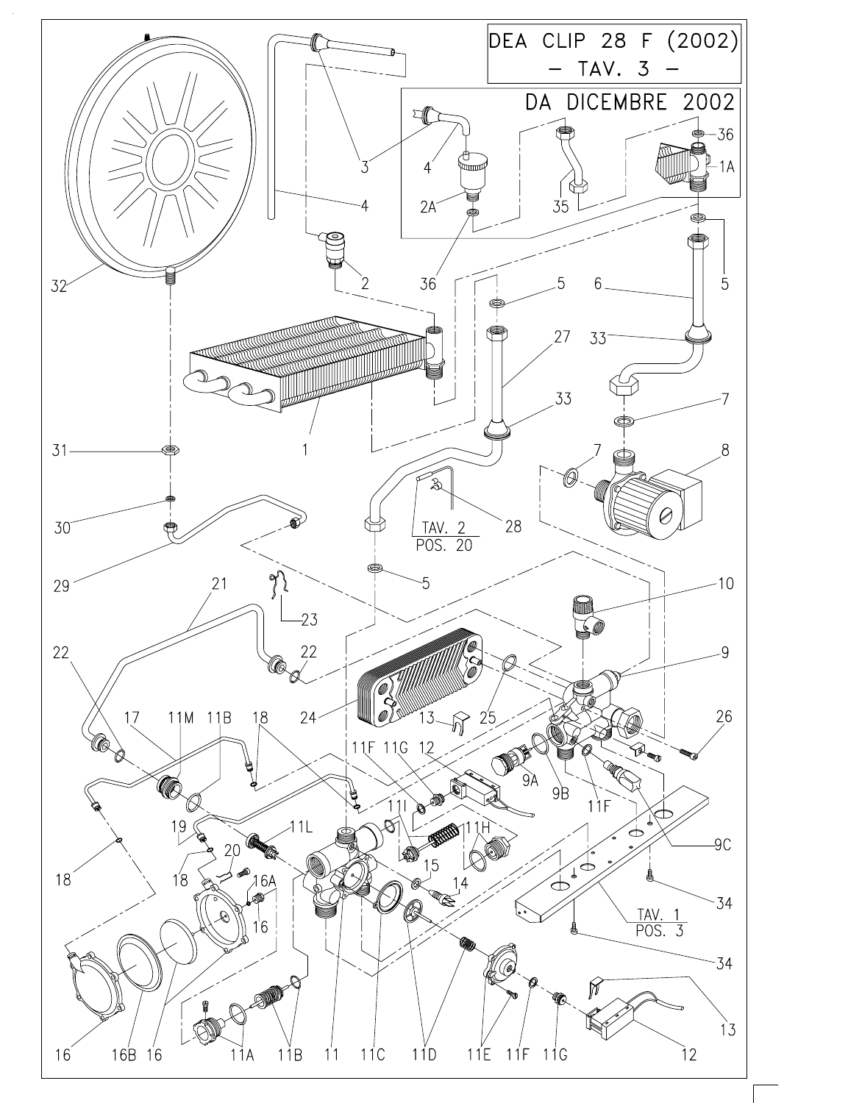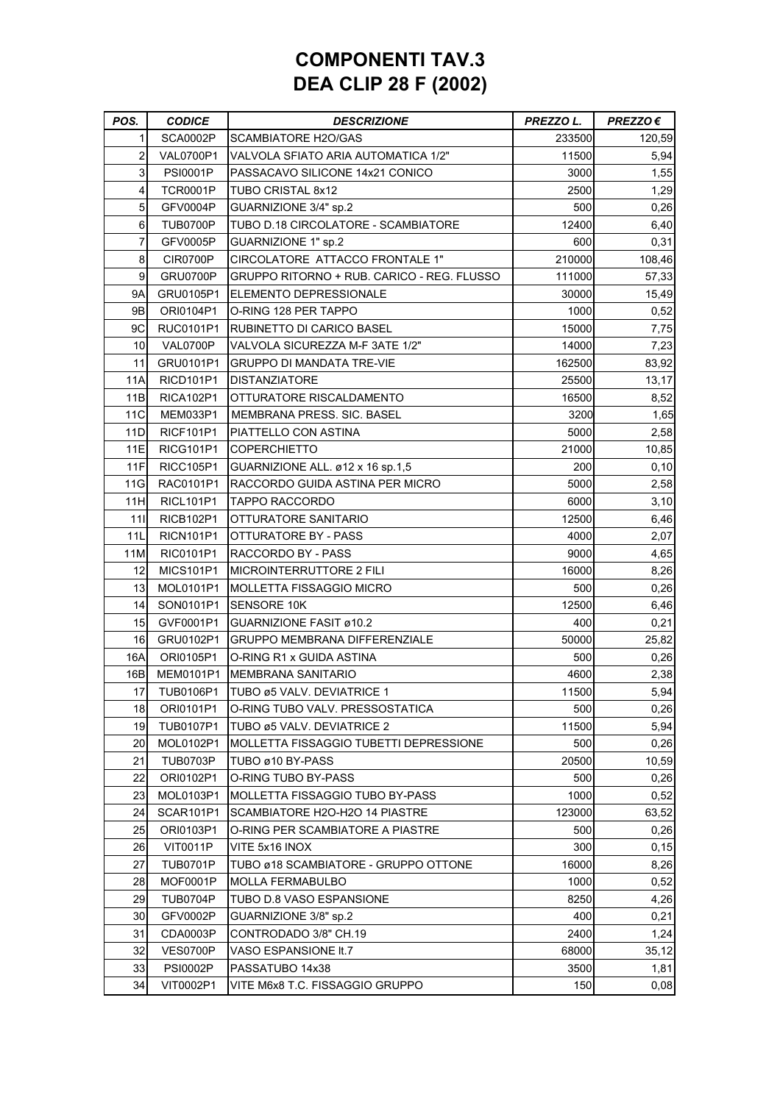## **COMPONENTI TAV.3 DEA CLIP 28 F (2002)**

| POS.       | <b>CODICE</b>                      | <b>DESCRIZIONE</b>                         | PREZZO L. | $PREZZO \in$ |
|------------|------------------------------------|--------------------------------------------|-----------|--------------|
| 1          | SCA0002P                           | <b>SCAMBIATORE H2O/GAS</b>                 | 233500    | 120,59       |
| 2          | <b>VAL0700P1</b>                   | VALVOLA SFIATO ARIA AUTOMATICA 1/2"        | 11500     | 5,94         |
| 3          | <b>PSI0001P</b>                    | PASSACAVO SILICONE 14x21 CONICO            | 3000      | 1,55         |
| 4          | <b>TCR0001P</b>                    | TUBO CRISTAL 8x12                          | 2500      | 1,29         |
| 5          | GFV0004P                           | GUARNIZIONE 3/4" sp.2                      | 500       | 0,26         |
| 6          | TUB0700P                           | TUBO D.18 CIRCOLATORE - SCAMBIATORE        | 12400     | 6,40         |
| 7          | GFV0005P                           | GUARNIZIONE 1" sp.2                        | 600       | 0,31         |
| 8          | CIR0700P                           | CIRCOLATORE ATTACCO FRONTALE 1"            | 210000    | 108,46       |
| 9          | GRU0700P                           | GRUPPO RITORNO + RUB. CARICO - REG. FLUSSO | 111000    | 57,33        |
| <b>9A</b>  | GRU0105P1                          | ELEMENTO DEPRESSIONALE                     | 30000     | 15,49        |
| 9B         | ORI0104P1                          | O-RING 128 PER TAPPO                       | 1000      | 0,52         |
| 9C         | RUC0101P1                          | <b>RUBINETTO DI CARICO BASEL</b>           | 15000     | 7,75         |
| 10         | VAL0700P                           | VALVOLA SICUREZZA M-F 3ATE 1/2"            | 14000     | 7,23         |
| 11         | GRU0101P1                          | GRUPPO DI MANDATA TRE-VIE                  | 162500    | 83,92        |
| 11A        | RICD <sub>101</sub> P <sub>1</sub> | <b>DISTANZIATORE</b>                       | 25500     | 13,17        |
| 11B        | <b>RICA102P1</b>                   | OTTURATORE RISCALDAMENTO                   | 16500     | 8,52         |
| 11C        | MEM033P1                           | MEMBRANA PRESS. SIC. BASEL                 | 3200      | 1,65         |
| 11D        | <b>RICF101P1</b>                   | PIATTELLO CON ASTINA                       | 5000      | 2,58         |
| <b>11E</b> | <b>RICG101P1</b>                   | <b>COPERCHIETTO</b>                        | 21000     | 10,85        |
| 11F        | <b>RICC105P1</b>                   | GUARNIZIONE ALL. ø12 x 16 sp.1,5           | 200       | 0, 10        |
| 11G        | RAC0101P1                          | RACCORDO GUIDA ASTINA PER MICRO            | 5000      | 2,58         |
| 11H        | <b>RICL101P1</b>                   | <b>TAPPO RACCORDO</b>                      | 6000      | 3,10         |
| 11         | <b>RICB102P1</b>                   | OTTURATORE SANITARIO                       | 12500     | 6,46         |
| 11L        | RICN <sub>101</sub> P <sub>1</sub> | OTTURATORE BY - PASS                       | 4000      | 2,07         |
| 11M        | RIC0101P1                          | RACCORDO BY - PASS                         | 9000      | 4,65         |
| 12         | <b>MICS101P1</b>                   | <b>MICROINTERRUTTORE 2 FILI</b>            | 16000     | 8,26         |
| 13         | MOL0101P1                          | <b>MOLLETTA FISSAGGIO MICRO</b>            | 500       | 0,26         |
| 14         | SON0101P1                          | <b>SENSORE 10K</b>                         | 12500     | 6,46         |
| 15         | GVF0001P1                          | <b>GUARNIZIONE FASIT ø10.2</b>             | 400       | 0,21         |
| 16         | GRU0102P1                          | <b>GRUPPO MEMBRANA DIFFERENZIALE</b>       | 50000     | 25,82        |
| 16A        | ORI0105P1                          | O-RING R1 x GUIDA ASTINA                   | 500       | 0,26         |
| 16B        | MEM0101P1                          | <b>MEMBRANA SANITARIO</b>                  | 4600      | 2,38         |
| 17         | TUB0106P1                          | TUBO ø5 VALV. DEVIATRICE 1                 | 11500     | 5,94         |
| 18         | ORI0101P1                          | O-RING TUBO VALV. PRESSOSTATICA            | 500       | 0,26         |
| 19         | TUB0107P1                          | TUBO ø5 VALV. DEVIATRICE 2                 | 11500     | 5,94         |
| 20         | MOL0102P1                          | MOLLETTA FISSAGGIO TUBETTI DEPRESSIONE     | 500       | 0,26         |
| 21         | <b>TUB0703P</b>                    | TUBO ø10 BY-PASS                           | 20500     | 10,59        |
| 22         | ORI0102P1                          | O-RING TUBO BY-PASS                        | 500       | 0,26         |
| 23         | MOL0103P1                          | MOLLETTA FISSAGGIO TUBO BY-PASS            | 1000      | 0,52         |
| 24         | SCAR101P1                          | SCAMBIATORE H2O-H2O 14 PIASTRE             | 123000    | 63,52        |
| 25         | ORI0103P1                          | O-RING PER SCAMBIATORE A PIASTRE           | 500       | 0,26         |
| 26         | <b>VIT0011P</b>                    | VITE 5x16 INOX                             | 300       | 0, 15        |
| 27         | <b>TUB0701P</b>                    | TUBO ø18 SCAMBIATORE - GRUPPO OTTONE       | 16000     | 8,26         |
| 28         | MOF0001P                           | <b>MOLLA FERMABULBO</b>                    | 1000      | 0,52         |
| 29         | <b>TUB0704P</b>                    | TUBO D.8 VASO ESPANSIONE                   | 8250      | 4,26         |
| 30         | GFV0002P                           | GUARNIZIONE 3/8" sp.2                      | 400       | 0,21         |
| 31         | CDA0003P                           | CONTRODADO 3/8" CH.19                      | 2400      | 1,24         |
| 32         | <b>VES0700P</b>                    | VASO ESPANSIONE It.7                       | 68000     | 35,12        |
| 33         | <b>PSI0002P</b>                    | PASSATUBO 14x38                            | 3500      | 1,81         |
| 34         | VIT0002P1                          | VITE M6x8 T.C. FISSAGGIO GRUPPO            | 150       | 0,08         |